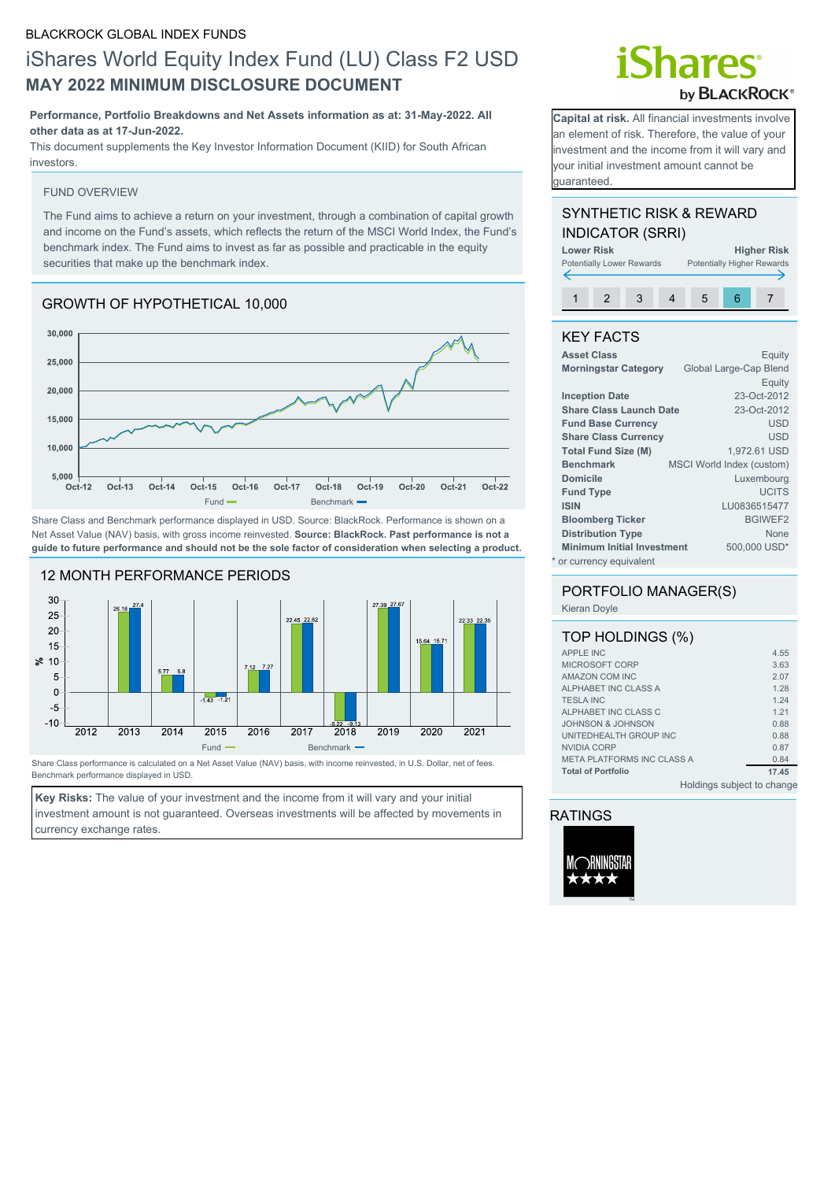# iShares World Equity Index Fund (LU) Class F2 USD **MAY 2022 MINIMUM DISCLOSURE DOCUMENT**

### **Performance, Portfolio Breakdowns and Net Assets information as at: 31-May-2022. All other data as at 17-Jun-2022.**

This document supplements the Key Investor Information Document (KIID) for South African investors.

### FUND OVERVIEW

The Fund aims to achieve a return on your investment, through a combination of capital growth and income on the Fund's assets, which reflects the return of the MSCI World Index, the Fund's benchmark index. The Fund aims to invest as far as possible and practicable in the equity securities that make up the benchmark index.

# GROWTH OF HYPOTHETICAL 10,000



Share Class and Benchmark performance displayed in USD. Source: BlackRock. Performance is shown on a Net Asset Value (NAV) basis, with gross income reinvested. **Source: BlackRock. Past performance is not a guide to future performance and should not be the sole factor of consideration when selecting a product.**



Share Class performance is calculated on a Net Asset Value (NAV) basis, with income reinvested, in U.S. Dollar, net of fees. Benchmark performance displayed in USD.

**Key Risks:** The value of your investment and the income from it will vary and your initial investment amount is not guaranteed. Overseas investments will be affected by movements in currency exchange rates.

# **\hares** by **BLACKROCK®**

**Capital at risk.** All financial investments involve an element of risk. Therefore, the value of your investment and the income from it will vary and your initial investment amount cannot be guaranteed.

# SYNTHETIC RISK & REWARD INDICATOR (SRRI)

| <b>Lower Risk</b> | <b>Higher Risk</b><br><b>Potentially Higher Rewards</b><br><b>Potentially Lower Rewards</b> |  |  |   |    |  |
|-------------------|---------------------------------------------------------------------------------------------|--|--|---|----|--|
|                   |                                                                                             |  |  |   |    |  |
|                   |                                                                                             |  |  | h | ีค |  |

## KEY FACTS

| <b>Asset Class</b>                | Equity                           |
|-----------------------------------|----------------------------------|
| <b>Morningstar Category</b>       | Global Large-Cap Blend           |
|                                   | Equity                           |
| <b>Inception Date</b>             | 23-Oct-2012                      |
| <b>Share Class Launch Date</b>    | 23-Oct-2012                      |
| <b>Fund Base Currency</b>         | USD                              |
| <b>Share Class Currency</b>       | <b>USD</b>                       |
| <b>Total Fund Size (M)</b>        | 1,972.61 USD                     |
| <b>Benchmark</b>                  | <b>MSCI World Index (custom)</b> |
| <b>Domicile</b>                   | Luxembourg                       |
| <b>Fund Type</b>                  | <b>UCITS</b>                     |
| <b>ISIN</b>                       | LU0836515477                     |
| <b>Bloomberg Ticker</b>           | <b>BGIWEF2</b>                   |
| <b>Distribution Type</b>          | <b>None</b>                      |
| <b>Minimum Initial Investment</b> | 500,000 USD*                     |
| * or currency equivalent          |                                  |

# PORTFOLIO MANAGER(S)

Kieran Doyle

| TOP HOLDINGS (%)                  |                            |
|-----------------------------------|----------------------------|
| <b>APPLE INC</b>                  | 4.55                       |
| MICROSOFT CORP                    | 3.63                       |
| AMAZON COM INC                    | 2.07                       |
| ALPHABET INC CLASS A              | 1.28                       |
| <b>TESLA INC</b>                  | 1.24                       |
| ALPHABET INC CLASS C              | 1.21                       |
| JOHNSON & JOHNSON                 | 0.88                       |
| UNITEDHEALTH GROUP INC            | 0.88                       |
| NVIDIA CORP                       | 0.87                       |
| <b>META PLATFORMS INC CLASS A</b> | 0.84                       |
| <b>Total of Portfolio</b>         | 17.45                      |
|                                   | Holdings subject to change |

RATINGS

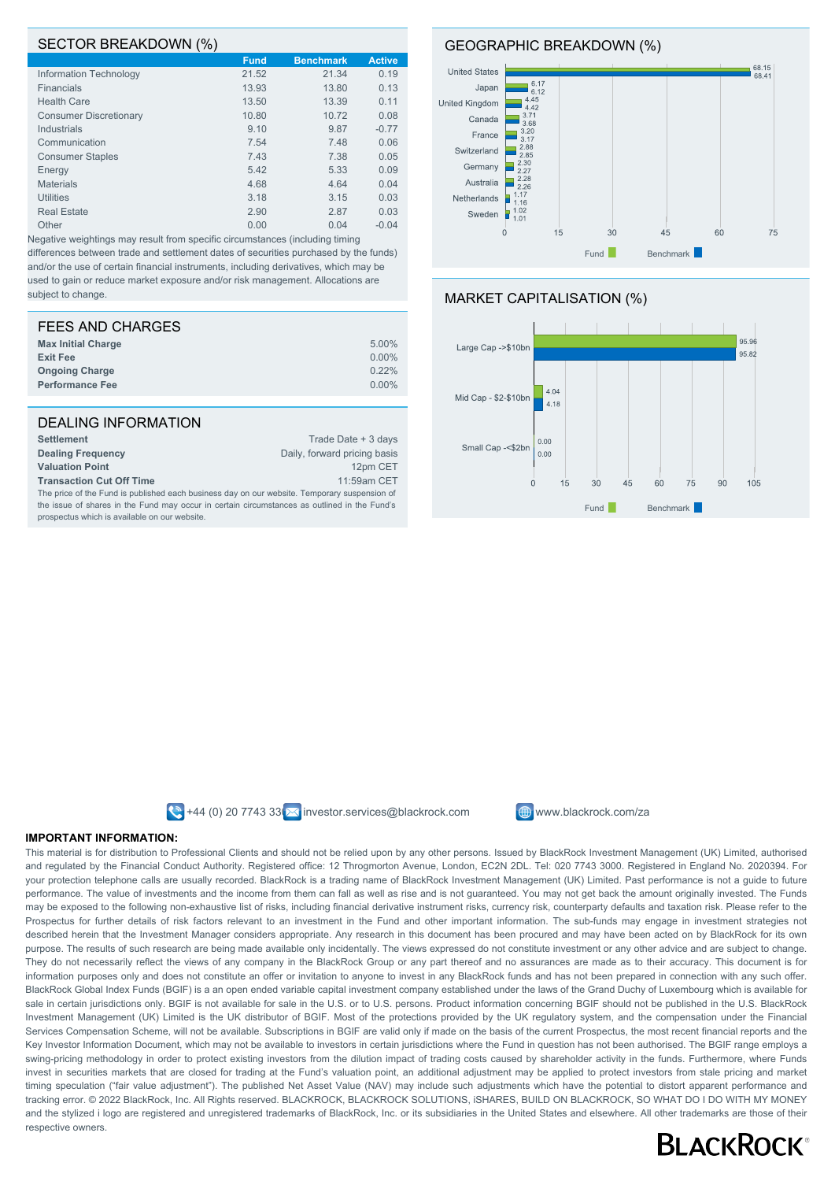### SECTOR BREAKDOWN (%)

|                               | <b>Fund</b> | <b>Benchmark</b> | <b>Active</b> |
|-------------------------------|-------------|------------------|---------------|
| Information Technology        | 21.52       | 21.34            | 0.19          |
| <b>Financials</b>             | 13.93       | 13.80            | 0.13          |
| <b>Health Care</b>            | 13.50       | 13.39            | 0.11          |
| <b>Consumer Discretionary</b> | 10.80       | 10.72            | 0.08          |
| Industrials                   | 9.10        | 9.87             | $-0.77$       |
| Communication                 | 7.54        | 7.48             | 0.06          |
| <b>Consumer Staples</b>       | 7.43        | 7.38             | 0.05          |
| Energy                        | 5.42        | 5.33             | 0.09          |
| <b>Materials</b>              | 4.68        | 4.64             | 0.04          |
| <b>Utilities</b>              | 3.18        | 3.15             | 0.03          |
| <b>Real Estate</b>            | 2.90        | 2.87             | 0.03          |
| Other                         | 0.00        | 0.04             | $-0.04$       |
|                               |             |                  |               |

Negative weightings may result from specific circumstances (including timing differences between trade and settlement dates of securities purchased by the funds) and/or the use of certain financial instruments, including derivatives, which may be used to gain or reduce market exposure and/or risk management. Allocations are subject to change.

| 5.00%    |
|----------|
| 0.00%    |
| 0.22%    |
| $0.00\%$ |
|          |

## DEALING INFORMATION

| <b>Settlement</b>                                                                            | Trade Date + 3 days          |
|----------------------------------------------------------------------------------------------|------------------------------|
| <b>Dealing Frequency</b>                                                                     | Daily, forward pricing basis |
| <b>Valuation Point</b>                                                                       | 12pm CET                     |
| <b>Transaction Cut Off Time</b>                                                              | 11:59am CET                  |
| The price of the Fund is published each business day on our website. Temporary suspension of |                              |
| the issue of shares in the Fund may occur in certain circumstances as outlined in the Fund's |                              |
| prospectus which is available on our website.                                                |                              |

GEOGRAPHIC BREAKDOWN (%)







 $\bigotimes$  +44 (0) 20 7743 33  $\bigotimes$  investor.services@blackrock.com  $\bigoplus$  www.blackrock.com/za



### **IMPORTANT INFORMATION:**

This material is for distribution to Professional Clients and should not be relied upon by any other persons. Issued by BlackRock Investment Management (UK) Limited, authorised and regulated by the Financial Conduct Authority. Registered office: 12 Throgmorton Avenue, London, EC2N 2DL. Tel: 020 7743 3000. Registered in England No. 2020394. For your protection telephone calls are usually recorded. BlackRock is a trading name of BlackRock Investment Management (UK) Limited. Past performance is not a guide to future performance. The value of investments and the income from them can fall as well as rise and is not guaranteed. You may not get back the amount originally invested. The Funds may be exposed to the following non-exhaustive list of risks, including financial derivative instrument risks, currency risk, counterparty defaults and taxation risk. Please refer to the Prospectus for further details of risk factors relevant to an investment in the Fund and other important information. The sub-funds may engage in investment strategies not described herein that the Investment Manager considers appropriate. Any research in this document has been procured and may have been acted on by BlackRock for its own purpose. The results of such research are being made available only incidentally. The views expressed do not constitute investment or any other advice and are subject to change. They do not necessarily reflect the views of any company in the BlackRock Group or any part thereof and no assurances are made as to their accuracy. This document is for information purposes only and does not constitute an offer or invitation to anyone to invest in any BlackRock funds and has not been prepared in connection with any such offer. BlackRock Global Index Funds (BGIF) is a an open ended variable capital investment company established under the laws of the Grand Duchy of Luxembourg which is available for sale in certain jurisdictions only. BGIF is not available for sale in the U.S. or to U.S. persons. Product information concerning BGIF should not be published in the U.S. BlackRock Investment Management (UK) Limited is the UK distributor of BGIF. Most of the protections provided by the UK regulatory system, and the compensation under the Financial Services Compensation Scheme, will not be available. Subscriptions in BGIF are valid only if made on the basis of the current Prospectus, the most recent financial reports and the Key Investor Information Document, which may not be available to investors in certain jurisdictions where the Fund in question has not been authorised. The BGIF range employs a swing-pricing methodology in order to protect existing investors from the dilution impact of trading costs caused by shareholder activity in the funds. Furthermore, where Funds invest in securities markets that are closed for trading at the Fund's valuation point, an additional adjustment may be applied to protect investors from stale pricing and market timing speculation ("fair value adjustment"). The published Net Asset Value (NAV) may include such adjustments which have the potential to distort apparent performance and tracking error. © 2022 BlackRock, Inc. All Rights reserved. BLACKROCK, BLACKROCK SOLUTIONS, iSHARES, BUILD ON BLACKROCK, SO WHAT DO I DO WITH MY MONEY and the stylized i logo are registered and unregistered trademarks of BlackRock, Inc. or its subsidiaries in the United States and elsewhere. All other trademarks are those of their respective owners.